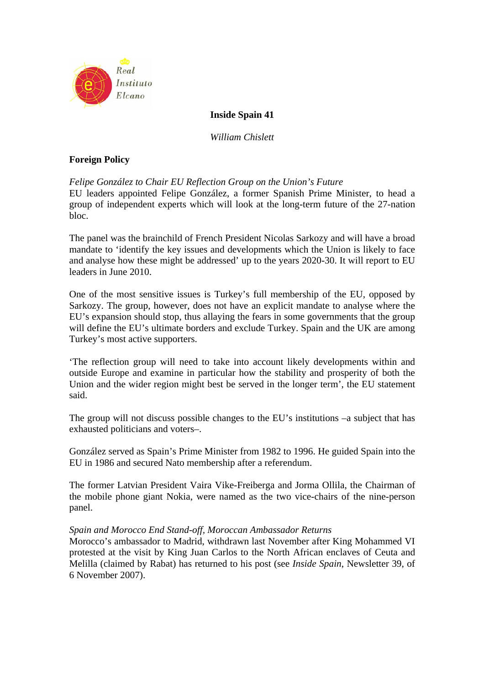

# **Inside Spain 41**

*William Chislett* 

# **Foreign Policy**

*Felipe González to Chair EU Reflection Group on the Union's Future*  EU leaders appointed Felipe González, a former Spanish Prime Minister, to head a group of independent experts which will look at the long-term future of the 27-nation bloc.

The panel was the brainchild of French President Nicolas Sarkozy and will have a broad mandate to 'identify the key issues and developments which the Union is likely to face and analyse how these might be addressed' up to the years 2020-30. It will report to EU leaders in June 2010.

One of the most sensitive issues is Turkey's full membership of the EU, opposed by Sarkozy. The group, however, does not have an explicit mandate to analyse where the EU's expansion should stop, thus allaying the fears in some governments that the group will define the EU's ultimate borders and exclude Turkey. Spain and the UK are among Turkey's most active supporters.

'The reflection group will need to take into account likely developments within and outside Europe and examine in particular how the stability and prosperity of both the Union and the wider region might best be served in the longer term', the EU statement said.

The group will not discuss possible changes to the EU's institutions –a subject that has exhausted politicians and voters–.

González served as Spain's Prime Minister from 1982 to 1996. He guided Spain into the EU in 1986 and secured Nato membership after a referendum.

The former Latvian President Vaira Vike-Freiberga and Jorma Ollila, the Chairman of the mobile phone giant Nokia, were named as the two vice-chairs of the nine-person panel.

### *Spain and Morocco End Stand-off, Moroccan Ambassador Returns*

Morocco's ambassador to Madrid, withdrawn last November after King Mohammed VI protested at the visit by King Juan Carlos to the North African enclaves of Ceuta and Melilla (claimed by Rabat) has returned to his post (see *Inside Spain*, Newsletter 39, of 6 November 2007).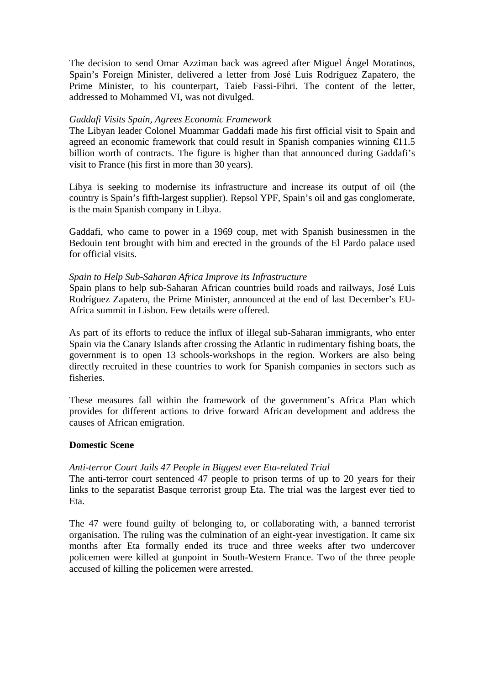The decision to send Omar Azziman back was agreed after Miguel Ángel Moratinos, Spain's Foreign Minister, delivered a letter from José Luis Rodríguez Zapatero, the Prime Minister, to his counterpart, Taieb Fassi-Fihri. The content of the letter, addressed to Mohammed VI, was not divulged.

### *Gaddafi Visits Spain, Agrees Economic Framework*

The Libyan leader Colonel Muammar Gaddafi made his first official visit to Spain and agreed an economic framework that could result in Spanish companies winning  $\epsilon$ 1.5 billion worth of contracts. The figure is higher than that announced during Gaddafi's visit to France (his first in more than 30 years).

Libya is seeking to modernise its infrastructure and increase its output of oil (the country is Spain's fifth-largest supplier). Repsol YPF, Spain's oil and gas conglomerate, is the main Spanish company in Libya.

Gaddafi, who came to power in a 1969 coup, met with Spanish businessmen in the Bedouin tent brought with him and erected in the grounds of the El Pardo palace used for official visits.

### *Spain to Help Sub-Saharan Africa Improve its Infrastructure*

Spain plans to help sub-Saharan African countries build roads and railways, José Luis Rodríguez Zapatero, the Prime Minister, announced at the end of last December's EU-Africa summit in Lisbon. Few details were offered.

As part of its efforts to reduce the influx of illegal sub-Saharan immigrants, who enter Spain via the Canary Islands after crossing the Atlantic in rudimentary fishing boats, the government is to open 13 schools-workshops in the region. Workers are also being directly recruited in these countries to work for Spanish companies in sectors such as fisheries.

These measures fall within the framework of the government's Africa Plan which provides for different actions to drive forward African development and address the causes of African emigration.

### **Domestic Scene**

### *Anti-terror Court Jails 47 People in Biggest ever Eta-related Trial*

The anti-terror court sentenced 47 people to prison terms of up to 20 years for their links to the separatist Basque terrorist group Eta. The trial was the largest ever tied to Eta.

The 47 were found guilty of belonging to, or collaborating with, a banned terrorist organisation. The ruling was the culmination of an eight-year investigation. It came six months after Eta formally ended its truce and three weeks after two undercover policemen were killed at gunpoint in South-Western France. Two of the three people accused of killing the policemen were arrested.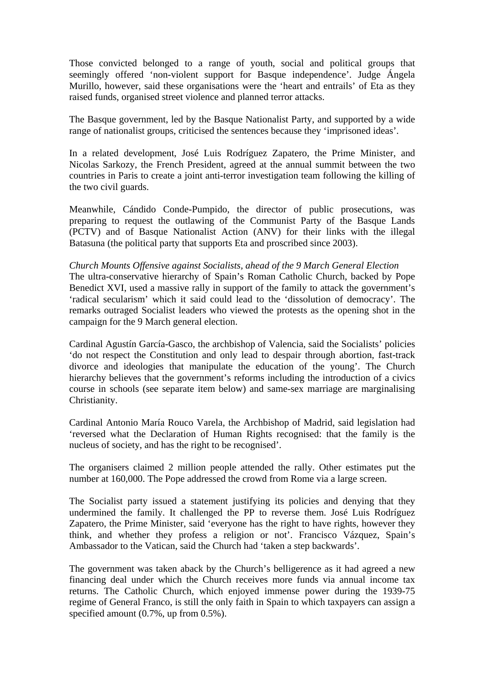Those convicted belonged to a range of youth, social and political groups that seemingly offered 'non-violent support for Basque independence'. Judge Ángela Murillo, however, said these organisations were the 'heart and entrails' of Eta as they raised funds, organised street violence and planned terror attacks.

The Basque government, led by the Basque Nationalist Party, and supported by a wide range of nationalist groups, criticised the sentences because they 'imprisoned ideas'.

In a related development, José Luis Rodríguez Zapatero, the Prime Minister, and Nicolas Sarkozy, the French President, agreed at the annual summit between the two countries in Paris to create a joint anti-terror investigation team following the killing of the two civil guards.

Meanwhile, Cándido Conde-Pumpido, the director of public prosecutions, was preparing to request the outlawing of the Communist Party of the Basque Lands (PCTV) and of Basque Nationalist Action (ANV) for their links with the illegal Batasuna (the political party that supports Eta and proscribed since 2003).

# *Church Mounts Offensive against Socialists, ahead of the 9 March General Election*

The ultra-conservative hierarchy of Spain's Roman Catholic Church, backed by Pope Benedict XVI, used a massive rally in support of the family to attack the government's 'radical secularism' which it said could lead to the 'dissolution of democracy'. The remarks outraged Socialist leaders who viewed the protests as the opening shot in the campaign for the 9 March general election.

Cardinal Agustín García-Gasco, the archbishop of Valencia, said the Socialists' policies 'do not respect the Constitution and only lead to despair through abortion, fast-track divorce and ideologies that manipulate the education of the young'. The Church hierarchy believes that the government's reforms including the introduction of a civics course in schools (see separate item below) and same-sex marriage are marginalising Christianity.

Cardinal Antonio María Rouco Varela, the Archbishop of Madrid, said legislation had 'reversed what the Declaration of Human Rights recognised: that the family is the nucleus of society, and has the right to be recognised'.

The organisers claimed 2 million people attended the rally. Other estimates put the number at 160,000. The Pope addressed the crowd from Rome via a large screen.

The Socialist party issued a statement justifying its policies and denying that they undermined the family. It challenged the PP to reverse them. José Luis Rodríguez Zapatero, the Prime Minister, said 'everyone has the right to have rights, however they think, and whether they profess a religion or not'. Francisco Vázquez, Spain's Ambassador to the Vatican, said the Church had 'taken a step backwards'.

The government was taken aback by the Church's belligerence as it had agreed a new financing deal under which the Church receives more funds via annual income tax returns. The Catholic Church, which enjoyed immense power during the 1939-75 regime of General Franco, is still the only faith in Spain to which taxpayers can assign a specified amount  $(0.7\%$ , up from  $0.5\%$ ).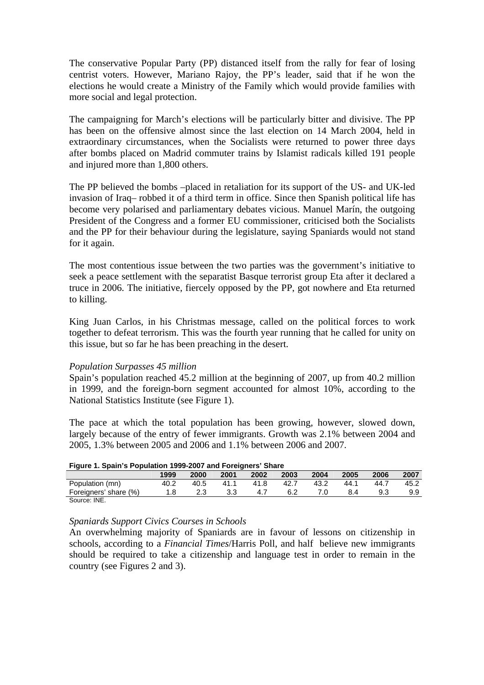The conservative Popular Party (PP) distanced itself from the rally for fear of losing centrist voters. However, Mariano Rajoy, the PP's leader, said that if he won the elections he would create a Ministry of the Family which would provide families with more social and legal protection.

The campaigning for March's elections will be particularly bitter and divisive. The PP has been on the offensive almost since the last election on 14 March 2004, held in extraordinary circumstances, when the Socialists were returned to power three days after bombs placed on Madrid commuter trains by Islamist radicals killed 191 people and injured more than 1,800 others.

The PP believed the bombs –placed in retaliation for its support of the US- and UK-led invasion of Iraq– robbed it of a third term in office. Since then Spanish political life has become very polarised and parliamentary debates vicious. Manuel Marín, the outgoing President of the Congress and a former EU commissioner, criticised both the Socialists and the PP for their behaviour during the legislature, saying Spaniards would not stand for it again.

The most contentious issue between the two parties was the government's initiative to seek a peace settlement with the separatist Basque terrorist group Eta after it declared a truce in 2006. The initiative, fiercely opposed by the PP, got nowhere and Eta returned to killing.

King Juan Carlos, in his Christmas message, called on the political forces to work together to defeat terrorism. This was the fourth year running that he called for unity on this issue, but so far he has been preaching in the desert.

### *Population Surpasses 45 million*

Spain's population reached 45.2 million at the beginning of 2007, up from 40.2 million in 1999, and the foreign-born segment accounted for almost 10%, according to the National Statistics Institute (see Figure 1).

The pace at which the total population has been growing, however, slowed down, largely because of the entry of fewer immigrants. Growth was 2.1% between 2004 and 2005, 1.3% between 2005 and 2006 and 1.1% between 2006 and 2007.

| Figure 1. Spain's Population 1999-2007 and Foreigners' Share |      |      |      |      |      |      |      |      |      |  |
|--------------------------------------------------------------|------|------|------|------|------|------|------|------|------|--|
|                                                              | 1999 | 2000 | 2001 | 2002 | 2003 | 2004 | 2005 | 2006 | 2007 |  |
| Population (mn)                                              | 40.2 | 40.5 | 41.1 | 41.8 | 42.7 | 43.2 | 44.1 | 44.7 | 45.2 |  |
| Foreigners' share (%)                                        | 1.8  | 2.3  | 3.3  | 4.7  | 6.2  | 7.0  | 8.4  | 9.3  | 9.9  |  |
| Cource: INE                                                  |      |      |      |      |      |      |      |      |      |  |

#### **Figure 1. Spain's Population 1999-2007 and Foreigners' Share**

Source: INE.

#### *Spaniards Support Civics Courses in Schools*

An overwhelming majority of Spaniards are in favour of lessons on citizenship in schools, according to a *Financial Times*/Harris Poll, and half believe new immigrants should be required to take a citizenship and language test in order to remain in the country (see Figures 2 and 3).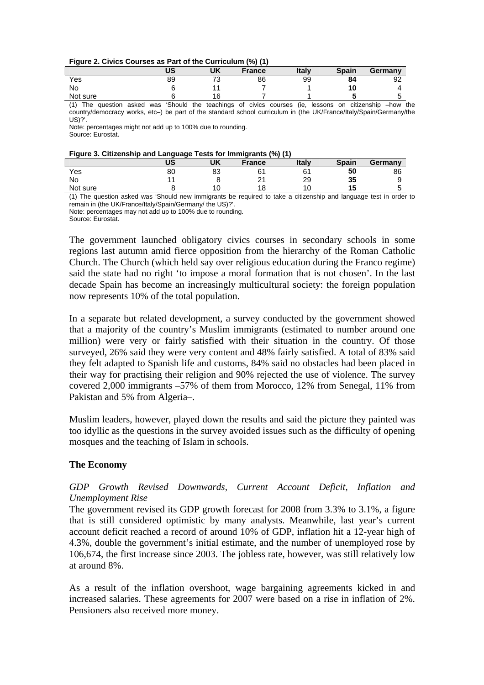| Figure 2. Civics Courses as Part of the Curriculum (%) (1) |  |  |  |  |
|------------------------------------------------------------|--|--|--|--|
|------------------------------------------------------------|--|--|--|--|

|          | <b>US</b> | UK                       | <b>France</b> | Italy | <b>Spain</b> | Germany |
|----------|-----------|--------------------------|---------------|-------|--------------|---------|
| Yes      | 89        | $\overline{\phantom{a}}$ | 86            | 99    | 84           | 92      |
| No       |           |                          |               |       | 10           |         |
| Not sure |           | 16                       |               |       |              |         |

(1) The question asked was 'Should the teachings of civics courses (ie, lessons on citizenship –how the country/democracy works, etc–) be part of the standard school curriculum in (the UK/France/Italy/Spain/Germany/the  $U(S)$ ?'

Note: percentages might not add up to 100% due to rounding.

Source: Eurostat.

#### **Figure 3. Citizenship and Language Tests for Immigrants (%) (1)**

|          | US | UK             | <b>France</b>  | Italy | <b>Spain</b> | Germany |
|----------|----|----------------|----------------|-------|--------------|---------|
| Yes      | 80 | 83             | 61             | 61    | 50           | 86      |
| No       |    |                | n,<br><u>_</u> | 29    | 35           |         |
| Not sure |    | $\overline{1}$ | 18             | 10    |              |         |

(1) The question asked was 'Should new immigrants be required to take a citizenship and language test in order to remain in (the UK/France/Italy/Spain/Germany/ the US)?'.

Note: percentages may not add up to 100% due to rounding.

Source: Eurostat.

The government launched obligatory civics courses in secondary schools in some regions last autumn amid fierce opposition from the hierarchy of the Roman Catholic Church. The Church (which held say over religious education during the Franco regime) said the state had no right 'to impose a moral formation that is not chosen'. In the last decade Spain has become an increasingly multicultural society: the foreign population now represents 10% of the total population.

In a separate but related development, a survey conducted by the government showed that a majority of the country's Muslim immigrants (estimated to number around one million) were very or fairly satisfied with their situation in the country. Of those surveyed, 26% said they were very content and 48% fairly satisfied. A total of 83% said they felt adapted to Spanish life and customs, 84% said no obstacles had been placed in their way for practising their religion and 90% rejected the use of violence. The survey covered 2,000 immigrants –57% of them from Morocco, 12% from Senegal, 11% from Pakistan and 5% from Algeria–.

Muslim leaders, however, played down the results and said the picture they painted was too idyllic as the questions in the survey avoided issues such as the difficulty of opening mosques and the teaching of Islam in schools.

### **The Economy**

*GDP Growth Revised Downwards, Current Account Deficit, Inflation and Unemployment Rise* 

The government revised its GDP growth forecast for 2008 from 3.3% to 3.1%, a figure that is still considered optimistic by many analysts. Meanwhile, last year's current account deficit reached a record of around 10% of GDP, inflation hit a 12-year high of 4.3%, double the government's initial estimate, and the number of unemployed rose by 106,674, the first increase since 2003. The jobless rate, however, was still relatively low at around 8%.

As a result of the inflation overshoot, wage bargaining agreements kicked in and increased salaries. These agreements for 2007 were based on a rise in inflation of 2%. Pensioners also received more money.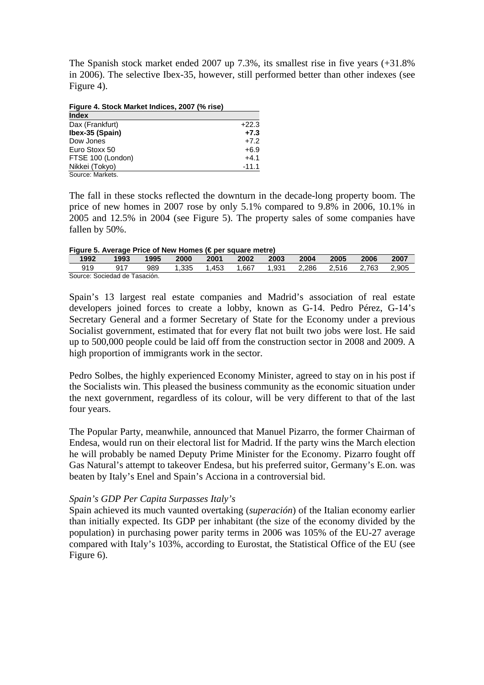The Spanish stock market ended 2007 up 7.3%, its smallest rise in five years (+31.8% in 2006). The selective Ibex-35, however, still performed better than other indexes (see Figure 4).

**Figure 4. Stock Market Indices, 2007 (% rise)** 

| <b>Index</b>      |         |
|-------------------|---------|
| Dax (Frankfurt)   | $+22.3$ |
| Ibex-35 (Spain)   | $+7.3$  |
| Dow Jones         | $+7.2$  |
| Euro Stoxx 50     | $+6.9$  |
| FTSE 100 (London) | $+4.1$  |
| Nikkei (Tokyo)    | $-11.1$ |
| Source: Markets.  |         |

The fall in these stocks reflected the downturn in the decade-long property boom. The price of new homes in 2007 rose by only 5.1% compared to 9.8% in 2006, 10.1% in 2005 and 12.5% in 2004 (see Figure 5). The property sales of some companies have fallen by 50%.

**Figure 5. Average Price of New Homes (€ per square metre)** 

| 1992                          | 1993 | 1995 | 2000  | 2001 | 2002  | 2003  | 2004  | 2005  | 2006  | 2007  |
|-------------------------------|------|------|-------|------|-------|-------|-------|-------|-------|-------|
| 919                           | 917  | 989  | 1.335 | .453 | 1.667 | 1.931 | 2.286 | 2.516 | 2.763 | 2.905 |
| Source: Sociedad de Tasación. |      |      |       |      |       |       |       |       |       |       |

Spain's 13 largest real estate companies and Madrid's association of real estate developers joined forces to create a lobby, known as G-14. Pedro Pérez, G-14's Secretary General and a former Secretary of State for the Economy under a previous Socialist government, estimated that for every flat not built two jobs were lost. He said up to 500,000 people could be laid off from the construction sector in 2008 and 2009. A high proportion of immigrants work in the sector.

Pedro Solbes, the highly experienced Economy Minister, agreed to stay on in his post if the Socialists win. This pleased the business community as the economic situation under the next government, regardless of its colour, will be very different to that of the last four years.

The Popular Party, meanwhile, announced that Manuel Pizarro, the former Chairman of Endesa, would run on their electoral list for Madrid. If the party wins the March election he will probably be named Deputy Prime Minister for the Economy. Pizarro fought off Gas Natural's attempt to takeover Endesa, but his preferred suitor, Germany's E.on. was beaten by Italy's Enel and Spain's Acciona in a controversial bid.

### *Spain's GDP Per Capita Surpasses Italy's*

Spain achieved its much vaunted overtaking (*superación*) of the Italian economy earlier than initially expected. Its GDP per inhabitant (the size of the economy divided by the population) in purchasing power parity terms in 2006 was 105% of the EU-27 average compared with Italy's 103%, according to Eurostat, the Statistical Office of the EU (see Figure 6).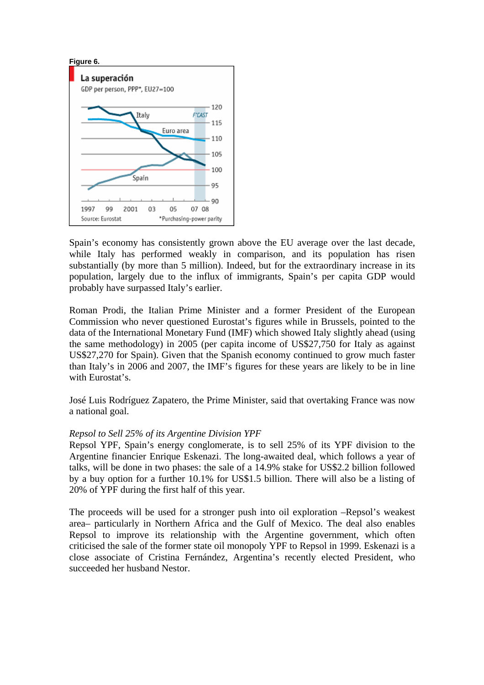

Spain's economy has consistently grown above the EU average over the last decade, while Italy has performed weakly in comparison, and its population has risen substantially (by more than 5 million). Indeed, but for the extraordinary increase in its population, largely due to the influx of immigrants, Spain's per capita GDP would probably have surpassed Italy's earlier.

Roman Prodi, the Italian Prime Minister and a former President of the European Commission who never questioned Eurostat's figures while in Brussels, pointed to the data of the International Monetary Fund (IMF) which showed Italy slightly ahead (using the same methodology) in 2005 (per capita income of US\$27,750 for Italy as against US\$27,270 for Spain). Given that the Spanish economy continued to grow much faster than Italy's in 2006 and 2007, the IMF's figures for these years are likely to be in line with Eurostat's.

José Luis Rodríguez Zapatero, the Prime Minister, said that overtaking France was now a national goal.

### *Repsol to Sell 25% of its Argentine Division YPF*

Repsol YPF, Spain's energy conglomerate, is to sell 25% of its YPF division to the Argentine financier Enrique Eskenazi. The long-awaited deal, which follows a year of talks, will be done in two phases: the sale of a 14.9% stake for US\$2.2 billion followed by a buy option for a further 10.1% for US\$1.5 billion. There will also be a listing of 20% of YPF during the first half of this year.

The proceeds will be used for a stronger push into oil exploration –Repsol's weakest area– particularly in Northern Africa and the Gulf of Mexico. The deal also enables Repsol to improve its relationship with the Argentine government, which often criticised the sale of the former state oil monopoly YPF to Repsol in 1999. Eskenazi is a close associate of Cristina Fernández, Argentina's recently elected President, who succeeded her husband Nestor.